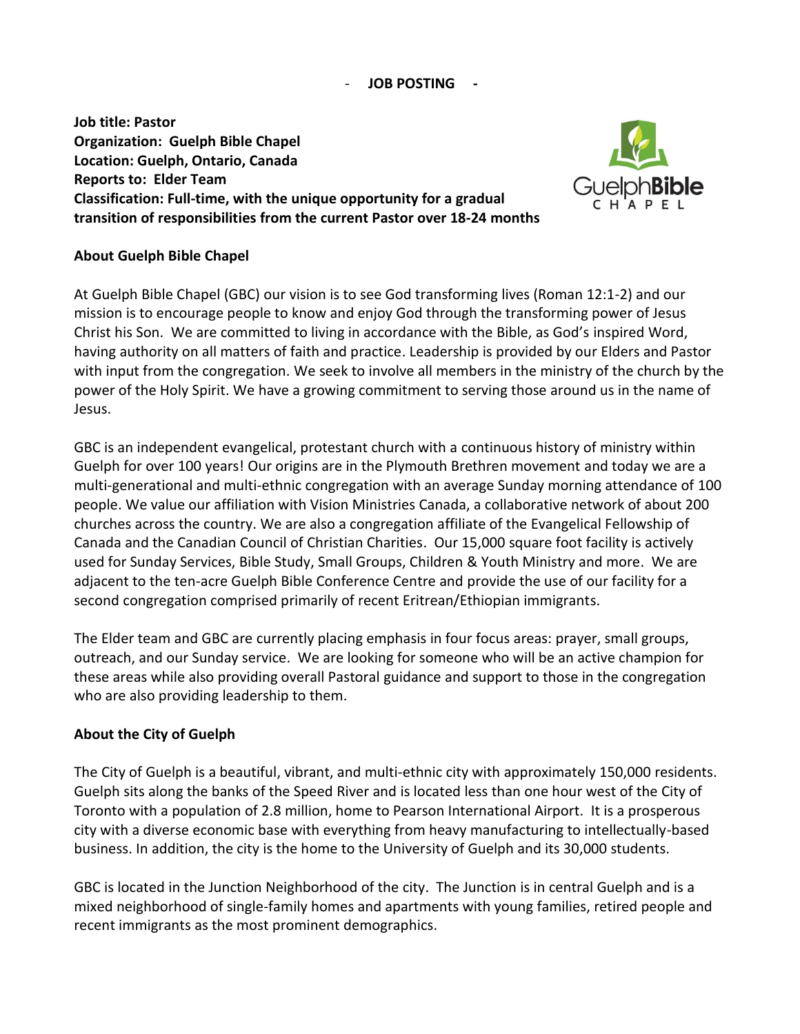#### - **JOB POSTING -**

**Job title: Pastor Organization: Guelph Bible Chapel Location: Guelph, Ontario, Canada Reports to: Elder Team Classification: Full-time, with the unique opportunity for a gradual transition of responsibilities from the current Pastor over 18-24 months**



## **About Guelph Bible Chapel**

At Guelph Bible Chapel (GBC) our vision is to see God transforming lives (Roman 12:1-2) and our mission is to encourage people to know and enjoy God through the transforming power of Jesus Christ his Son. We are committed to living in accordance with the Bible, as God's inspired Word, having authority on all matters of faith and practice. Leadership is provided by our Elders and Pastor with input from the congregation. We seek to involve all members in the ministry of the church by the power of the Holy Spirit. We have a growing commitment to serving those around us in the name of Jesus.

GBC is an independent evangelical, protestant church with a continuous history of ministry within Guelph for over 100 years! Our origins are in the Plymouth Brethren movement and today we are a multi-generational and multi-ethnic congregation with an average Sunday morning attendance of 100 people. We value our affiliation with Vision Ministries Canada, a collaborative network of about 200 churches across the country. We are also a congregation affiliate of the Evangelical Fellowship of Canada and the Canadian Council of Christian Charities. Our 15,000 square foot facility is actively used for Sunday Services, Bible Study, Small Groups, Children & Youth Ministry and more. We are adjacent to the ten-acre Guelph Bible Conference Centre and provide the use of our facility for a second congregation comprised primarily of recent Eritrean/Ethiopian immigrants.

The Elder team and GBC are currently placing emphasis in four focus areas: prayer, small groups, outreach, and our Sunday service. We are looking for someone who will be an active champion for these areas while also providing overall Pastoral guidance and support to those in the congregation who are also providing leadership to them.

# **About the City of Guelph**

The City of Guelph is a beautiful, vibrant, and multi-ethnic city with approximately 150,000 residents. Guelph sits along the banks of the Speed River and is located less than one hour west of the City of Toronto with a population of 2.8 million, home to Pearson International Airport. It is a prosperous city with a diverse economic base with everything from heavy manufacturing to intellectually-based business. In addition, the city is the home to the University of Guelph and its 30,000 students.

GBC is located in the Junction Neighborhood of the city. The Junction is in central Guelph and is a mixed neighborhood of single-family homes and apartments with young families, retired people and recent immigrants as the most prominent demographics.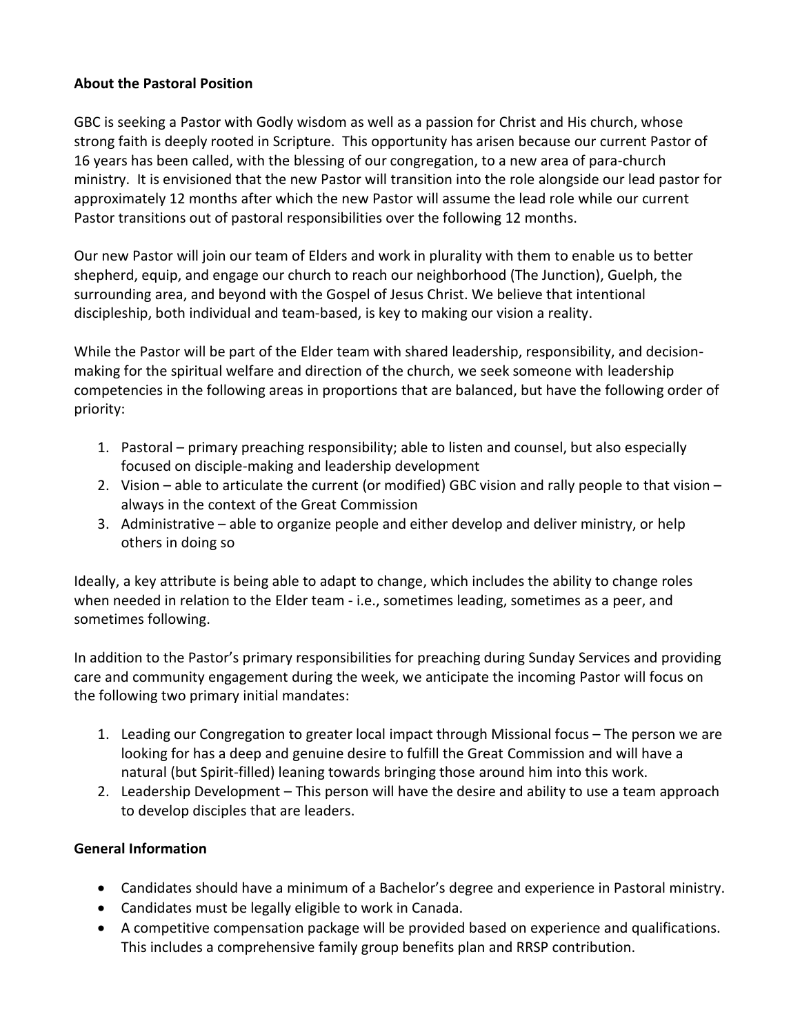# **About the Pastoral Position**

GBC is seeking a Pastor with Godly wisdom as well as a passion for Christ and His church, whose strong faith is deeply rooted in Scripture. This opportunity has arisen because our current Pastor of 16 years has been called, with the blessing of our congregation, to a new area of para-church ministry. It is envisioned that the new Pastor will transition into the role alongside our lead pastor for approximately 12 months after which the new Pastor will assume the lead role while our current Pastor transitions out of pastoral responsibilities over the following 12 months.

Our new Pastor will join our team of Elders and work in plurality with them to enable us to better shepherd, equip, and engage our church to reach our neighborhood (The Junction), Guelph, the surrounding area, and beyond with the Gospel of Jesus Christ. We believe that intentional discipleship, both individual and team-based, is key to making our vision a reality.

While the Pastor will be part of the Elder team with shared leadership, responsibility, and decisionmaking for the spiritual welfare and direction of the church, we seek someone with leadership competencies in the following areas in proportions that are balanced, but have the following order of priority:

- 1. Pastoral primary preaching responsibility; able to listen and counsel, but also especially focused on disciple-making and leadership development
- 2. Vision able to articulate the current (or modified) GBC vision and rally people to that vision always in the context of the Great Commission
- 3. Administrative able to organize people and either develop and deliver ministry, or help others in doing so

Ideally, a key attribute is being able to adapt to change, which includes the ability to change roles when needed in relation to the Elder team - i.e., sometimes leading, sometimes as a peer, and sometimes following.

In addition to the Pastor's primary responsibilities for preaching during Sunday Services and providing care and community engagement during the week, we anticipate the incoming Pastor will focus on the following two primary initial mandates:

- 1. Leading our Congregation to greater local impact through Missional focus The person we are looking for has a deep and genuine desire to fulfill the Great Commission and will have a natural (but Spirit-filled) leaning towards bringing those around him into this work.
- 2. Leadership Development This person will have the desire and ability to use a team approach to develop disciples that are leaders.

# **General Information**

- Candidates should have a minimum of a Bachelor's degree and experience in Pastoral ministry.
- Candidates must be legally eligible to work in Canada.
- A competitive compensation package will be provided based on experience and qualifications. This includes a comprehensive family group benefits plan and RRSP contribution.